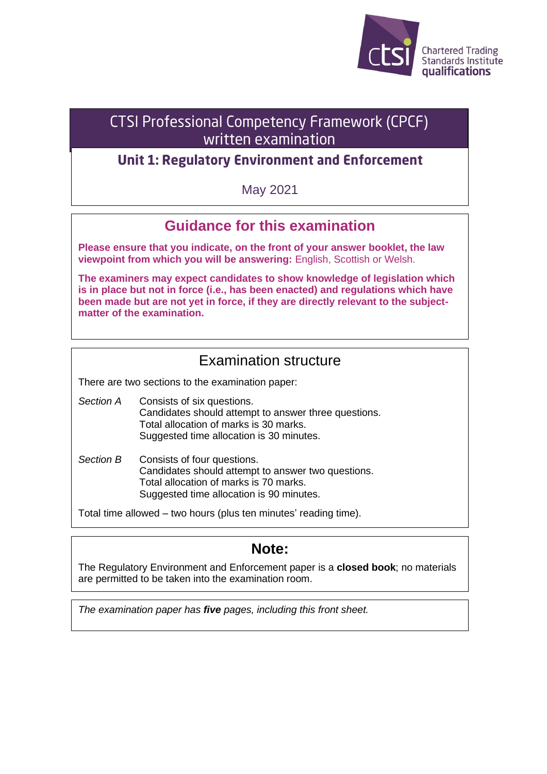

# **CTSI Professional Competency Framework (CPCF)** written examination

## **Unit 1: Regulatory Environment and Enforcement**

May 2021

# **Guidance for this examination**

**Please ensure that you indicate, on the front of your answer booklet, the law viewpoint from which you will be answering:** English, Scottish or Welsh.

**The examiners may expect candidates to show knowledge of legislation which is in place but not in force (i.e., has been enacted) and regulations which have been made but are not yet in force, if they are directly relevant to the subjectmatter of the examination.**

### Examination structure

There are two sections to the examination paper:

- *Section A* Consists of six questions. Candidates should attempt to answer three questions. Total allocation of marks is 30 marks. Suggested time allocation is 30 minutes.
- *Section B* Consists of four questions. Candidates should attempt to answer two questions. Total allocation of marks is 70 marks. Suggested time allocation is 90 minutes.

Total time allowed – two hours (plus ten minutes' reading time).

## **Note:**

The Regulatory Environment and Enforcement paper is a **closed book**; no materials are permitted to be taken into the examination room.

*The examination paper has five pages, including this front sheet.*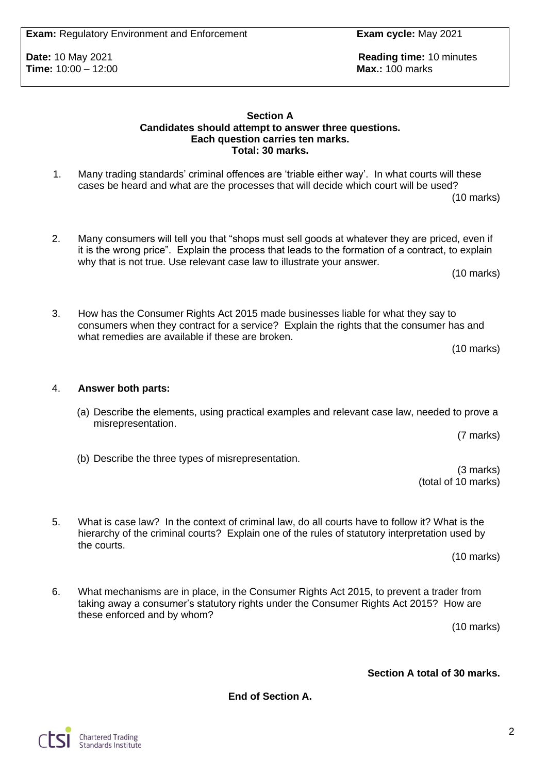**Exam:** Regulatory Environment and Enforcement **Exam cycle:** May 2021

**Time:** 10:00 - 12:00

**Date:** 10 May 2021 **Reading time:** 10 minutes **Reading time:** 10 minutes **Time:** 10:00 – 12:00

#### **Section A Candidates should attempt to answer three questions. Each question carries ten marks. Total: 30 marks.**

- 1. Many trading standards' criminal offences are 'triable either way'. In what courts will these cases be heard and what are the processes that will decide which court will be used? (10 marks)
- 2. Many consumers will tell you that "shops must sell goods at whatever they are priced, even if it is the wrong price". Explain the process that leads to the formation of a contract, to explain why that is not true. Use relevant case law to illustrate your answer.

(10 marks)

3. How has the Consumer Rights Act 2015 made businesses liable for what they say to consumers when they contract for a service? Explain the rights that the consumer has and what remedies are available if these are broken.

(10 marks)

#### 4. **Answer both parts:**

(a) Describe the elements, using practical examples and relevant case law, needed to prove a misrepresentation.

(7 marks)

(3 marks)

(total of 10 marks)

- (b) Describe the three types of misrepresentation.
- 5. What is case law? In the context of criminal law, do all courts have to follow it? What is the hierarchy of the criminal courts? Explain one of the rules of statutory interpretation used by the courts.

(10 marks)

6. What mechanisms are in place, in the Consumer Rights Act 2015, to prevent a trader from taking away a consumer's statutory rights under the Consumer Rights Act 2015? How are these enforced and by whom?

(10 marks)

### **Section A total of 30 marks.**

**End of Section A.**



2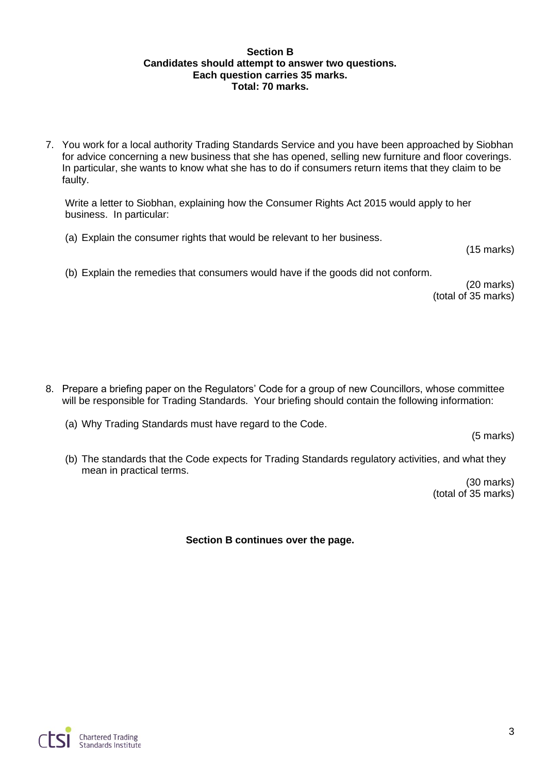#### **Section B Candidates should attempt to answer two questions. Each question carries 35 marks. Total: 70 marks.**

7. You work for a local authority Trading Standards Service and you have been approached by Siobhan for advice concerning a new business that she has opened, selling new furniture and floor coverings. In particular, she wants to know what she has to do if consumers return items that they claim to be faulty.

Write a letter to Siobhan, explaining how the Consumer Rights Act 2015 would apply to her business. In particular:

(a) Explain the consumer rights that would be relevant to her business.

(15 marks)

(b) Explain the remedies that consumers would have if the goods did not conform.

(20 marks) (total of 35 marks)

- 8. Prepare a briefing paper on the Regulators' Code for a group of new Councillors, whose committee will be responsible for Trading Standards. Your briefing should contain the following information:
	- (a) Why Trading Standards must have regard to the Code.

(5 marks)

(b) The standards that the Code expects for Trading Standards regulatory activities, and what they mean in practical terms.

> (30 marks) (total of 35 marks)

**Section B continues over the page.**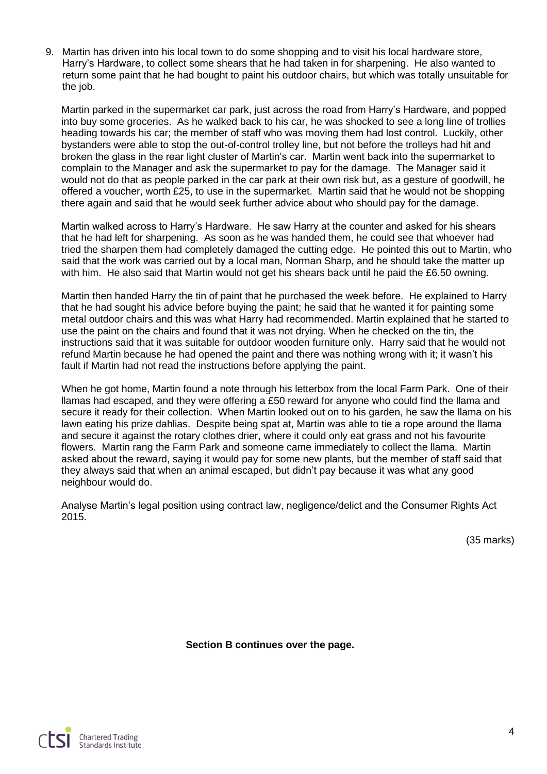9. Martin has driven into his local town to do some shopping and to visit his local hardware store, Harry's Hardware, to collect some shears that he had taken in for sharpening. He also wanted to return some paint that he had bought to paint his outdoor chairs, but which was totally unsuitable for the job.

Martin parked in the supermarket car park, just across the road from Harry's Hardware, and popped into buy some groceries. As he walked back to his car, he was shocked to see a long line of trollies heading towards his car; the member of staff who was moving them had lost control. Luckily, other bystanders were able to stop the out-of-control trolley line, but not before the trolleys had hit and broken the glass in the rear light cluster of Martin's car. Martin went back into the supermarket to complain to the Manager and ask the supermarket to pay for the damage. The Manager said it would not do that as people parked in the car park at their own risk but, as a gesture of goodwill, he offered a voucher, worth £25, to use in the supermarket. Martin said that he would not be shopping there again and said that he would seek further advice about who should pay for the damage.

Martin walked across to Harry's Hardware. He saw Harry at the counter and asked for his shears that he had left for sharpening. As soon as he was handed them, he could see that whoever had tried the sharpen them had completely damaged the cutting edge. He pointed this out to Martin, who said that the work was carried out by a local man, Norman Sharp, and he should take the matter up with him. He also said that Martin would not get his shears back until he paid the £6.50 owning.

Martin then handed Harry the tin of paint that he purchased the week before. He explained to Harry that he had sought his advice before buying the paint; he said that he wanted it for painting some metal outdoor chairs and this was what Harry had recommended. Martin explained that he started to use the paint on the chairs and found that it was not drying. When he checked on the tin, the instructions said that it was suitable for outdoor wooden furniture only. Harry said that he would not refund Martin because he had opened the paint and there was nothing wrong with it; it wasn't his fault if Martin had not read the instructions before applying the paint.

When he got home, Martin found a note through his letterbox from the local Farm Park. One of their llamas had escaped, and they were offering a £50 reward for anyone who could find the llama and secure it ready for their collection. When Martin looked out on to his garden, he saw the llama on his lawn eating his prize dahlias. Despite being spat at, Martin was able to tie a rope around the llama and secure it against the rotary clothes drier, where it could only eat grass and not his favourite flowers. Martin rang the Farm Park and someone came immediately to collect the llama. Martin asked about the reward, saying it would pay for some new plants, but the member of staff said that they always said that when an animal escaped, but didn't pay because it was what any good neighbour would do.

Analyse Martin's legal position using contract law, negligence/delict and the Consumer Rights Act 2015.

(35 marks)

**Section B continues over the page.**